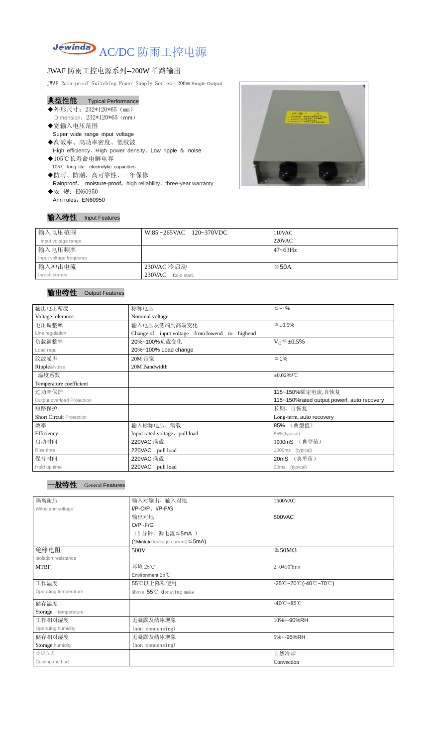

## JWAF 防雨工控电源系列--200W 单路输出

JWAF Rain-proof Switching Power Supply Series--200**W Single Output**

| 典型性能 | <b>Typical Performance</b> |
|------|----------------------------|
|------|----------------------------|

- ◆外形尺寸: 232\*120\*65 (mm) Dimension: 232\*120\*65 (mm)
- ◆宽输入电压范围 Super wide range input voltage
- ◆高效率、高功率密度、低纹波 High efficiency、High power density、Low ripple & noise
- ◆105℃长寿命电解电容 105℃ long life electrolytic capacitors
- ◆防雨、防潮,高可靠性、三年保修 Rainproof、 moisture-proof, high reliability、three-year warranty
- ◆安 规: EN60950 Ann rules: EN60950



#### 输入特性 Input Features

### 输出特性 Output Features

## 一般特性 General Features

| 输入电压范围                  | $W:85 \sim 265$ VAC 120~370VDC | 110VAC          |
|-------------------------|--------------------------------|-----------------|
| Input voltage range     |                                | $220$ VAC       |
| 输入电压频率                  |                                | $47 \sim 63$ Hz |
| Input voltage frequency |                                |                 |
| 输入冲击电流                  | 230VAC 冷启动                     | $\leq$ 50A      |
| Inrush current          | 230VAC Cold start,             |                 |

| 输出电压精度                          | 标称电压<br>$\leq \pm 1\%$                            |                          |  |
|---------------------------------|---------------------------------------------------|--------------------------|--|
| Voltage tolerance               | Nominal voltage                                   |                          |  |
| 电压调整率                           | 输入电压从低端到高端变化                                      | $\leq \pm 0.5\%$         |  |
| Line regulation                 | Change of input voltage from lowend to<br>highend |                          |  |
| 负载调整率                           | 20%~100%负载变化                                      | $V_0 \leq \pm 0.5\%$     |  |
| Load regul                      | 20%~100% Load change                              |                          |  |
| 纹波噪声                            | $\leq 1\%$<br>20M 带宽                              |                          |  |
| Ripple&Noise                    | 20M Bandwidth                                     |                          |  |
| 温度系数                            |                                                   | $\pm 0.02\%$ /°C         |  |
| Temperature coefficient         |                                                   |                          |  |
| 过功率保护                           |                                                   | 115~150%额定电流,自恢复         |  |
| Output overload Protection      | 115~150% rated output powerl, auto recovery       |                          |  |
| 短路保护                            |                                                   | 长期, 自恢复                  |  |
| <b>Short Circuit Protection</b> |                                                   | Long-term, auto recovery |  |
| 效率                              | 输入标称电压、满载                                         | 85% (典型值)                |  |
| Efficiency                      | Input rated voltage, pull load                    | 85%(typical)             |  |
| 启动时间                            | 220VAC 满载<br>(典型值)<br>1000mS                      |                          |  |
| Rise time                       | 220VAC pull load                                  | (typical)<br>1000ms      |  |
| 保持时间                            | 220VAC 满载                                         | (典型值)<br>20mS            |  |
| Hold up time                    | 220VAC pull load                                  | (typical)<br>20ms        |  |

| 隔离耐压                  | 输入对输出、输入对地                             | 1500VAC                                                                               |  |
|-----------------------|----------------------------------------|---------------------------------------------------------------------------------------|--|
| Withstand voltage     | $I/P-O/P$ , $I/P-F/G$                  |                                                                                       |  |
|                       | 输出对地                                   | 500VAC                                                                                |  |
|                       | $O/P - F/G$                            |                                                                                       |  |
|                       | (1分钟,漏电流≦5mA)                          |                                                                                       |  |
|                       | (1Mintute leakage current) $\leq$ 5mA) |                                                                                       |  |
| 绝缘电阻                  | 500V                                   | $\geq$ 50M $\Omega$                                                                   |  |
| Isolation resistance  |                                        |                                                                                       |  |
| <b>MTBF</b>           | 环境 25℃                                 | $2.0*10^5$ Hrs                                                                        |  |
|                       | Environment 25℃                        |                                                                                       |  |
| 工作温度                  | 55℃以上降额使用                              | $-25^{\circ}\text{C}-70^{\circ}\text{C}$ (-40 $^{\circ}\text{C}-70^{\circ}\text{C}$ ) |  |
| Operating temperature | Above 55°C derating make               |                                                                                       |  |
| 储存温度                  |                                        | $-40^{\circ}$ C $-85^{\circ}$ C                                                       |  |
| Storage temperature   |                                        |                                                                                       |  |
| 工作相对湿度                | 无凝露及结冰现象                               | 10%~-90%RH                                                                            |  |
| Operating humidity    | (non condensing)                       |                                                                                       |  |
| 储存相对湿度                | 无凝露及结冰现象                               | 5%~-95%RH                                                                             |  |
| Storage humidity      | (non condensing)                       |                                                                                       |  |
| 冷却方式                  |                                        | 自然冷却                                                                                  |  |
| Cooling method        |                                        | Convection                                                                            |  |